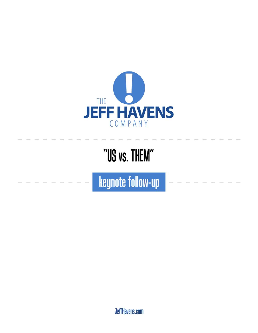

### "US vs. THEM"

keynote follow-up

JeffHavens.com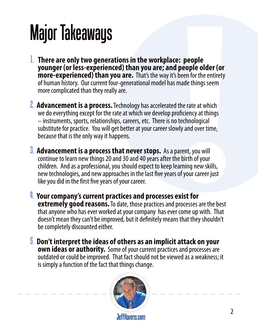# Major Takeaways

- 1. **There are only two generations in the workplace: people younger (or less-experienced) than you are; and people older (or more-experienced) than you are.** That's the way it's been for the entirety of human history. Our current four-generational model has made things seem more complicated than they really are.
- **2. Advancement is a process.** Technology has accelerated the rate at which we do everything except for the rate at which we develop proficiency at things – instruments, sports, relationships, careers, etc. There is no technological substitute for practice. You will get better at your career slowly and over time, because that is the only way it happens.
- 3. **Advancement is a process that never stops.** As a parent, you will continue to learn new things 20 and 30 and 40 years after the birth of your children. And as a professional, you should expect to keep learning new skills, new technologies, and new approaches in the last five years of your career just like you did in the first five years of your career.
- 4. **Your company's current practices and processes exist for extremely good reasons.** To date, those practices and processes are the best that anyone who has ever worked at your company has ever come up with. That doesn't mean they can't be improved, but it definitely means that they shouldn't be completely discounted either.
- 5. **Don't interpret the ideas of others as an implicit attack on your own ideas or authority.** Some of your current practices and processes are outdated or could be improved. That fact should not be viewed as a weakness; it is simply a function of the fact that things change.

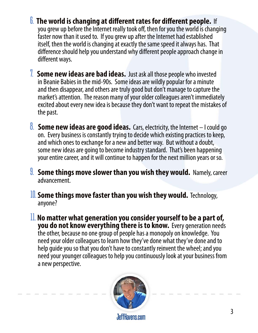- 6. **The world is changing at different rates for different people.** If you grew up before the Internet really took off, then for you the world is changing faster now than it used to. If you grew up after the Internet had established itself, then the world is changing at exactly the same speed it always has. That difference should help you understand why different people approach change in different ways.
- 7. **Some new ideas are bad ideas.** Just ask all those people who invested in Beanie Babies in the mid-90s. Some ideas are wildly popular for a minute and then disappear, and others are truly good but don't manage to capture the market's attention. The reason many of your older colleagues aren't immediately excited about every new idea is because they don't want to repeat the mistakes of the past.
- **8. Some new ideas are good ideas.** Cars, electricity, the Internet I could go on. Every business is constantly trying to decide which existing practices to keep, and which ones to exchange for a new and better way. But without a doubt, some new ideas are going to become industry standard. That's been happening your entire career, and it will continue to happen for the next million years or so.
- 9. **Some things move slower than you wish they would.** Namely, career advancement.
- 10.**Some things move faster than you wish they would.** Technology, anyone?
- 11. **No matter what generation you consider yourself to be a part of, you do not know everything there is to know.** Every generation needs the other, because no one group of people has a monopoly on knowledge. You need your older colleagues to learn how they've done what they've done and to help guide you so that you don't have to constantly reinvent the wheel; and you need your younger colleagues to help you continuously look at your business from a new perspective.

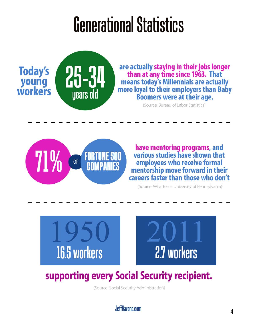## **Generational Statistics**



are actually staying in their jobs longer than at any time since 1963. That means today's Millennials are actually more loyal to their employers than Baby **Boomers were at their age.** 

(Source: Bureau of Labor Statistics)



have mentoring programs, and<br>various studies have shown that employees who receive formal mentorship move forward in their careers faster than those who don't

(Source: Wharton - University of Pennsylvania)



#### supporting every Social Security recipient.

(Source: Social Security Administration)

JeffHavens.com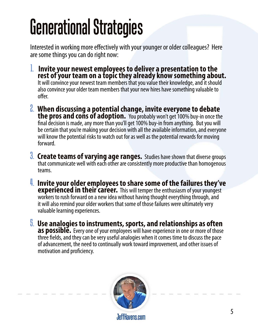# Generational Strategies

Interested in working more effectively with your younger or older colleagues? Here are some things you can do right now:

- 1. **Invite your newest employees to deliver a presentation to the rest of your team on a topic they already know something about.** It will convince your newest team members that you value their knowledge, and it should also convince your older team members that your new hires have something valuable to offer.
- 2. **When discussing a potential change, invite everyone to debate the pros and cons of adoption.** You probably won't get 100% buy-in once the final decision is made, any more than you'll get 100% buy-in from anything. But you will be certain that you're making your decision with all the available information, and everyone will know the potential risks to watch out for as well as the potential rewards for moving forward.
- 3. **Create teams of varying age ranges.** Studies have shown that diverse groups that communicate well with each other are consistently more productive than homogenous teams.
- 4. **Invite your older employees to share some of the failures they've experienced in their career.** This will temper the enthusiasm of your youngest workers to rush forward on a new idea without having thought everything through, and it will also remind your older workers that some of those failures were ultimately very valuable learning experiences.
- 5. **Use analogies to instruments, sports, and relationships as often as possible.** Every one of your employees will have experience in one or more of those three fields, and they can be very useful analogies when it comes time to discuss the pace of advancement, the need to continually work toward improvement, and other issues of motivation and proficiency.